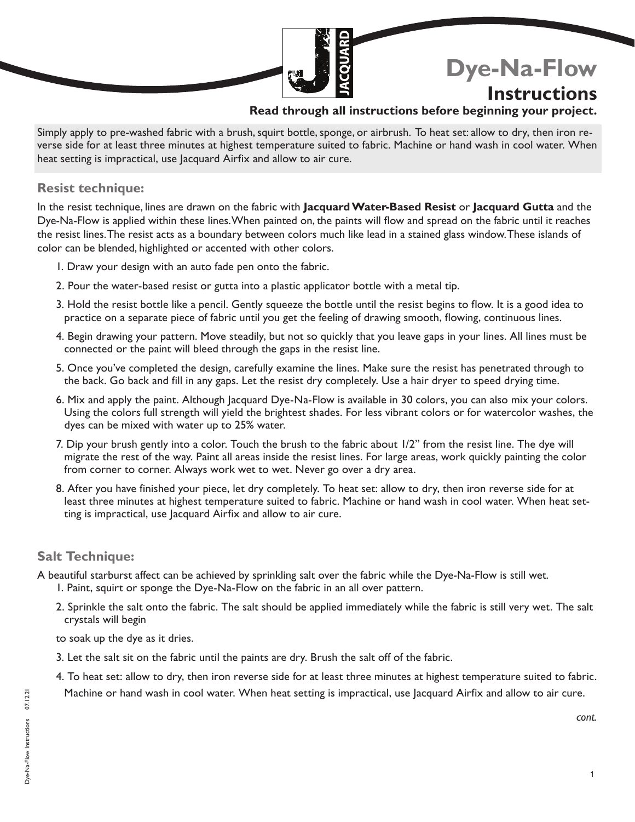# **Dye-Na-Flow**

# **Instructions**

### **Read through all instructions before beginning your project.**

Simply apply to pre-washed fabric with a brush, squirt bottle, sponge, or airbrush. To heat set: allow to dry, then iron reverse side for at least three minutes at highest temperature suited to fabric. Machine or hand wash in cool water. When heat setting is impractical, use Jacquard Airfix and allow to air cure.

#### **Resist technique:**

In the resist technique, lines are drawn on the fabric with **Jacquard Water-Based Resist** or **Jacquard Gutta** and the Dye-Na-Flow is applied within these lines. When painted on, the paints will flow and spread on the fabric until it reaches the resist lines. The resist acts as a boundary between colors much like lead in a stained glass window. These islands of color can be blended, highlighted or accented with other colors.

- 1. Draw your design with an auto fade pen onto the fabric.
- 2. Pour the water-based resist or gutta into a plastic applicator bottle with a metal tip.
- 3. Hold the resist bottle like a pencil. Gently squeeze the bottle until the resist begins to flow. It is a good idea to practice on a separate piece of fabric until you get the feeling of drawing smooth, flowing, continuous lines.
- 4. Begin drawing your pattern. Move steadily, but not so quickly that you leave gaps in your lines. All lines must be connected or the paint will bleed through the gaps in the resist line.
- 5. Once you've completed the design, carefully examine the lines. Make sure the resist has penetrated through to the back. Go back and fill in any gaps. Let the resist dry completely. Use a hair dryer to speed drying time.
- 6. Mix and apply the paint. Although Jacquard Dye-Na-Flow is available in 30 colors, you can also mix your colors. Using the colors full strength will yield the brightest shades. For less vibrant colors or for watercolor washes, the dyes can be mixed with water up to 25% water.
- 7. Dip your brush gently into a color. Touch the brush to the fabric about 1/2" from the resist line. The dye will migrate the rest of the way. Paint all areas inside the resist lines. For large areas, work quickly painting the color from corner to corner. Always work wet to wet. Never go over a dry area.
- 8. After you have finished your piece, let dry completely. To heat set: allow to dry, then iron reverse side for at least three minutes at highest temperature suited to fabric. Machine or hand wash in cool water. When heat setting is impractical, use Jacquard Airfix and allow to air cure.

#### **Salt Technique:**

A beautiful starburst affect can be achieved by sprinkling salt over the fabric while the Dye-Na-Flow is still wet.

- 1. Paint, squirt or sponge the Dye-Na-Flow on the fabric in an all over pattern.
- 2. Sprinkle the salt onto the fabric. The salt should be applied immediately while the fabric is still very wet. The salt crystals will begin

to soak up the dye as it dries.

- 3. Let the salt sit on the fabric until the paints are dry. Brush the salt off of the fabric.
- 4. To heat set: allow to dry, then iron reverse side for at least three minutes at highest temperature suited to fabric. Machine or hand wash in cool water. When heat setting is impractical, use Jacquard Airfix and allow to air cure.

*cont.*

1